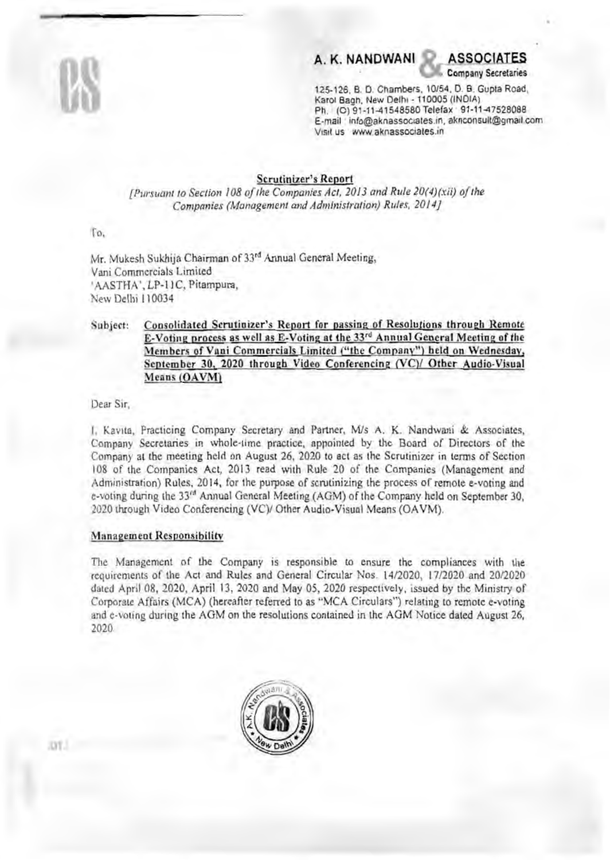# A. K. NANDWANI

**ASSOCIATES Company Secretaries** 

125-126, B. D. Chambers, 10/54, D. B. Gupta Road, Karol Bagh, New Delhi - 110005 (INDIA) Ph. (O) 91-11-41548580 Telefax 91-11-47528088 E-mail info@aknassociates.in, aknoonsult@gmail.com Visit us www.aknassociates.in

#### **Scrutinizer's Report**

[Pursuant to Section 108 of the Companies Act, 2013 and Rule 20(4)(xii) of the Companies (Management and Administration) Rules, 2014]

To.

Mr. Mukesh Sukhija Chairman of 33rd Annual General Meeting, Vani Commercials Limited 'AASTHA', LP-11C, Pitampura, New Delhi 110034

#### Consolidated Scrutinizer's Report for passing of Resolutions through Remote Subject: E-Voting process as well as E-Voting at the 33rd Annual General Meeting of the Members of Vani Commercials Limited ("the Company") held on Wednesday, September 30, 2020 through Video Conferencing (VC)/ Other Audio-Visual Means (OAVM)

Dear Sir.

I. Kavita, Practicing Company Secretary and Partner, M/s A. K. Nandwani & Associates, Company Secretaries in whole-time practice, appointed by the Board of Directors of the Company at the meeting held on August 26, 2020 to act as the Scrutinizer in terms of Section 108 of the Companies Act, 2013 read with Rule 20 of the Companies (Management and Administration) Rules, 2014, for the purpose of scrutinizing the process of remote e-voting and e-voting during the 33<sup>rd</sup> Annual General Meeting (AGM) of the Company held on September 30. 2020 through Video Conferencing (VC)/ Other Audio-Visual Means (OAVM).

#### **Management Responsibility**

The Management of the Company is responsible to ensure the compliances with the requirements of the Act and Rules and General Circular Nos. 14/2020, 17/2020 and 20/2020 dated April 08, 2020, April 13, 2020 and May 05, 2020 respectively, issued by the Ministry of Corporate Affairs (MCA) (hereafter referred to as "MCA Circulars") relating to remote e-voting and e-voting during the AGM on the resolutions contained in the AGM Notice dated August 26, 2020.

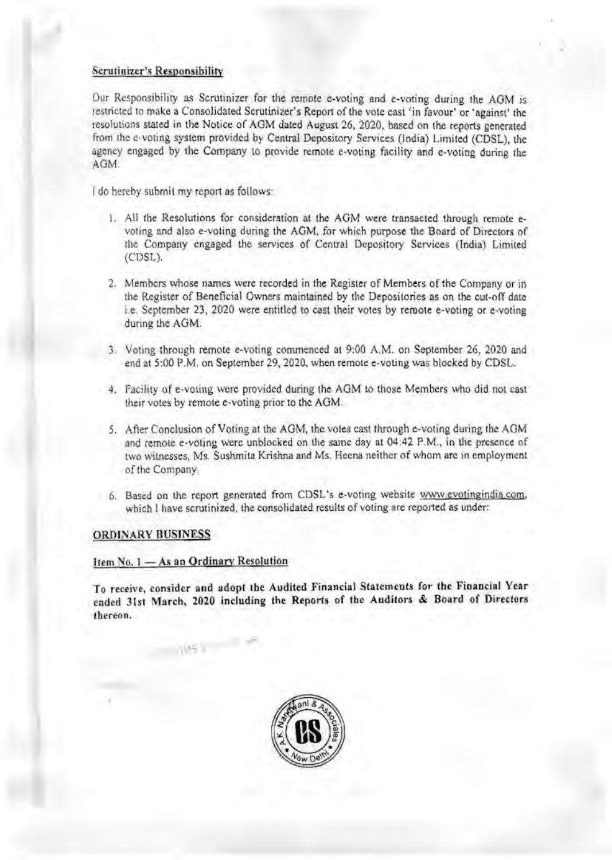### Scrutinizer's Responsibility

Our Responsibility as Scrutinizer for the remote e-voting and c-voting during the AGM is restricted to make a Consolidated Scrutinizer's Report of the vote cast 'in favour' or 'against' the resolutions stated in the Notice of AGM dated August 26, 2020, based on the reports generated from the e-voting system provided by Central Depository Services (India) Limited (CDSL), the agency engaged by the Company to provide remote e-voting facility and e-voting during the AGM.

I do hereby submit my report as follows:

- 1. All the Resolutions for consideration at the AGM were transacted through remote evoting and also e-voting during the AGM, for which purpose the Board of Directors of the Company engaged the services of Central Depository Services (India) Limited (CDSL).
- 2. Members whose names were recorded in the Register of Members of the Company or in the Register of Beneficial Owners maintained by the Depositories as on the cut-off date i.e. September 23, 2020 were entitled to cast their votes by remote e-voting or e-voting during the AGM.
- 3. Voting through remote e-voting commenced at 9:00 A.M. on September 26, 2020 and end at 5:00 P.M. on September 29, 2020, when remote e-voting was blocked by CDSL.
- 4. Facility of e-voting were provided during the AGM to those Members who did not cast their votes by remote e·voting prior to the AOM.
- 5. After Conclusion of Voting at the AGM, the votes cast through e-voting during the AGM and remote e-voting were unblocked on the same day at 04:42 P.M., in the presence of two witnesses, Ms. Sushmita Krishna and Ms. Heena neither of whonn are in employment of the Company.
- 6. Based on the report generated from CDSL's e-voting website www.evotingindia.com. which I have scrutinized, the consolidated results of voting are reported as under:

#### ORDINARY BUSINESS

### Item No. 1 - As an Ordinary Resolution

To receive, consider and adopt the Audited Financial Statements for the Financial Year ended 31st March, 2020 including the Reports of the Auditors & Board of Directors thereon.

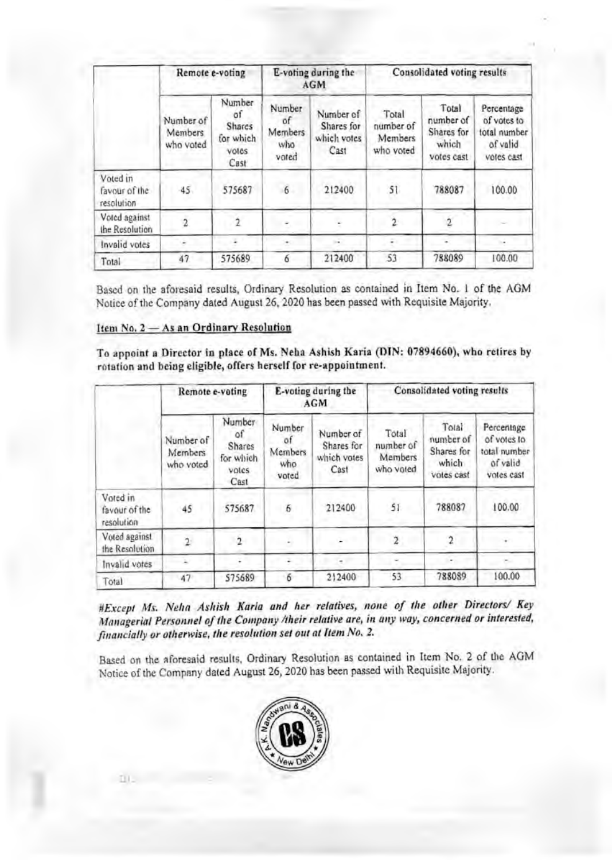|                                         | Remote e-voting                          |                                                      | E-voting during the<br><b>AGM</b>       |                                                | Consolidated voting results                |                                                         |                                                                     |
|-----------------------------------------|------------------------------------------|------------------------------------------------------|-----------------------------------------|------------------------------------------------|--------------------------------------------|---------------------------------------------------------|---------------------------------------------------------------------|
|                                         | Number of<br><b>Members</b><br>who voted | Number<br>οf<br>Shares<br>for which<br>votes<br>Cast | Number<br>of<br>Members<br>who<br>voted | Number of<br>Shares for<br>which votes<br>Cast | Total<br>number of<br>Members<br>who voted | Total<br>number of<br>Shares for<br>which<br>votes cast | Percentage<br>of votes to<br>total number<br>of valid<br>votes cast |
| Voted in<br>favour of the<br>resolution | 45 <sub>1</sub>                          | 575687                                               | 6                                       | 212400                                         | 51                                         | 788087                                                  | 100.00                                                              |
| Voted against<br>the Resolution         |                                          | 2                                                    |                                         |                                                | 2                                          |                                                         |                                                                     |
| Invalid votes                           |                                          |                                                      |                                         |                                                |                                            |                                                         |                                                                     |
| Total                                   | 47                                       | 575689                                               | 6                                       | 212400                                         | 53                                         | 788089                                                  | 100.00                                                              |

Based on the aforesaid results, Ordinary Resolution as contained in Item No. 1 of the AGM Notice of the Company dated August 26, 2020 has been passed with Requisite Majority.

# Item No. 2 - As an Ordinary Resolution

To appoint a Director in place of Ms. Neha Ashish Karia (DIN: 07894660), who retires by rotation and being eligible, offers herself for re-appointment.

|                                         | Remote e-voting                   |                                                              | E-voting during the<br>AGM              |                                                | Consolidated voting results                |                                                         |                                                                     |
|-----------------------------------------|-----------------------------------|--------------------------------------------------------------|-----------------------------------------|------------------------------------------------|--------------------------------------------|---------------------------------------------------------|---------------------------------------------------------------------|
|                                         | Number of<br>Members<br>who voted | Number<br>$^{\circ}$<br>Shares<br>for which<br>votes<br>Cast | Number<br>0f<br>Members<br>who<br>voted | Number of<br>Shares for<br>which votes<br>Cast | Total<br>number of<br>Members<br>who voted | Total<br>number of<br>Shares for<br>which<br>votes cast | Percentage<br>of votes to<br>total number<br>of valid<br>votes cast |
| Voted in<br>favour of the<br>resolution | 45                                | 575687                                                       | 6                                       | 212400                                         | 51                                         | 788087                                                  | 100.00                                                              |
| Voted against<br>the Resolution         |                                   | 2                                                            |                                         |                                                | 2                                          |                                                         |                                                                     |
| Invalid votes                           |                                   |                                                              |                                         |                                                |                                            | ۰                                                       |                                                                     |
| Total                                   | 47                                | 575689                                                       | 6                                       | 212400                                         | 53                                         | 788089                                                  | 100.00                                                              |

#Except Ms. Neha Ashish Karia and her relatives, none of the other Directors/ Key Managerial Personnel of the Company /their relative are, in any way, concerned or interested, financially or otherwise, the resolution set out at Item No. 2.

Based on the aforesaid results, Ordinary Resolution as contained in Item No. 2 of the AGM Notice of the Company dated August 26, 2020 has been passed with Requisite Majority.

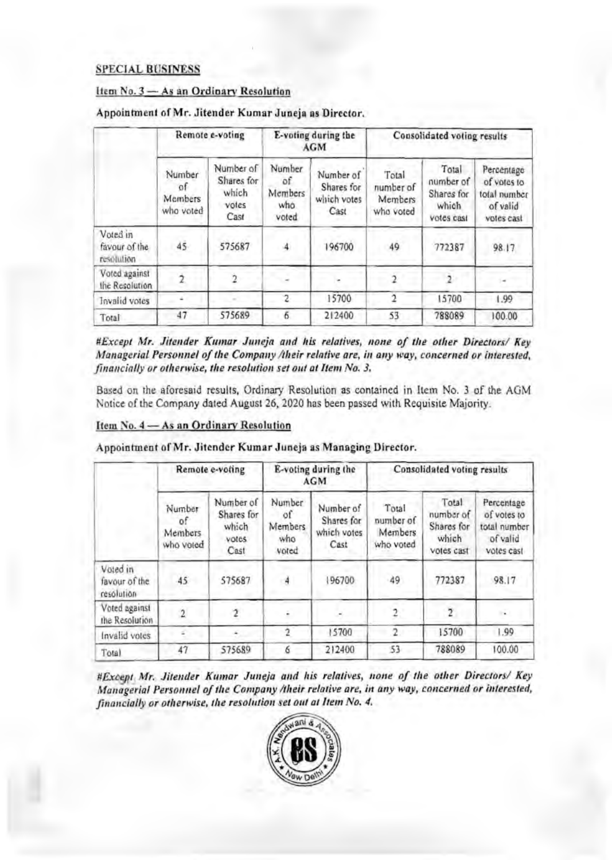# **SPECIAL BUSINESS**

# Item No. 3 - As an Ordinary Resolution

|                                          | Remote e-voting                      |                                                   | E-voting during the<br>AGM              |                                                | Consolidated voting results                |                                                         |                                                                     |
|------------------------------------------|--------------------------------------|---------------------------------------------------|-----------------------------------------|------------------------------------------------|--------------------------------------------|---------------------------------------------------------|---------------------------------------------------------------------|
|                                          | Number<br>of<br>Members<br>who voted | Number of<br>Shares for<br>which<br>votes<br>Cast | Number<br>٥f<br>Members<br>who<br>voted | Number of<br>Shares for<br>which votes<br>Cast | Total<br>number of<br>Members<br>who voted | Total<br>number of<br>Shares for<br>which<br>votes cast | Percentage<br>of votes to<br>total number<br>of valid<br>votes cast |
| Voted in<br>favour of the<br>resolution. | $45 -$                               | 575687                                            |                                         | 196700                                         | 49                                         | 772387                                                  | 98.17                                                               |
| Voted against<br>the Resolution          |                                      |                                                   |                                         |                                                |                                            |                                                         |                                                                     |
| Invalid votes                            |                                      |                                                   |                                         | 15700                                          |                                            | 15700                                                   | 1.99                                                                |
| Total                                    | 47                                   | 575689                                            | 6                                       | 212400                                         | 53                                         | 788089                                                  | 100.00                                                              |

### Appointment of Mr. Jitender Kumar Juneja as Director.

#Except Mr. Jitender Kumar Juneja and his relatives, none of the other Directors/ Key Managerial Personnel of the Company /their relative are, in any way, concerned or interested, financially or otherwise, the resolution set out at Item No. 3.

Based on the aforesaid results, Ordinary Resolution as contained in Item No. 3 of the AGM Notice of the Company dated August 26, 2020 has been passed with Requisite Majority.

# Item No. 4 - As an Ordinary Resolution

|  | Remote e-voting | E-voting during the<br>AGM | Consolidated voting results |
|--|-----------------|----------------------------|-----------------------------|
|--|-----------------|----------------------------|-----------------------------|

Appointment of Mr. Jitender Kumar Juneja as Managing Director.

| Number<br>of.<br>Members<br>who voted | Number of<br>Shares for<br>which<br>votes<br>Cast | Number<br>$\circ$ f<br>Members<br>who<br>voted | Number of<br>Shares for<br>which votes<br>Cast | Total<br>number of<br>Members<br>who voted | Total<br>number of<br>Shares for<br>which<br>votes cast | Percentage<br>of votes to<br>total number<br>of valid<br>votes cast |
|---------------------------------------|---------------------------------------------------|------------------------------------------------|------------------------------------------------|--------------------------------------------|---------------------------------------------------------|---------------------------------------------------------------------|
| 45                                    | 575687                                            | 4                                              | 96700                                          | 49                                         | 772387                                                  | 98.17                                                               |
|                                       |                                                   |                                                |                                                | $\overline{2}$                             | 2                                                       | $\ddot{\phantom{1}}$                                                |
|                                       |                                                   |                                                | 15700                                          | 2                                          | 15700                                                   | 1.99                                                                |
| 47                                    | 575689                                            |                                                | 212400                                         | 53                                         | 788089                                                  | 100.00                                                              |
|                                       |                                                   |                                                |                                                | $-1111$                                    |                                                         |                                                                     |

#Except Mr. Jitender Kumar Juneja and his relatives, none of the other Directors/ Key Managerial Personnel of the Company /their relative are, in any way, concerned or interested, financially or otherwise, the resolution set out at Item No. 4.

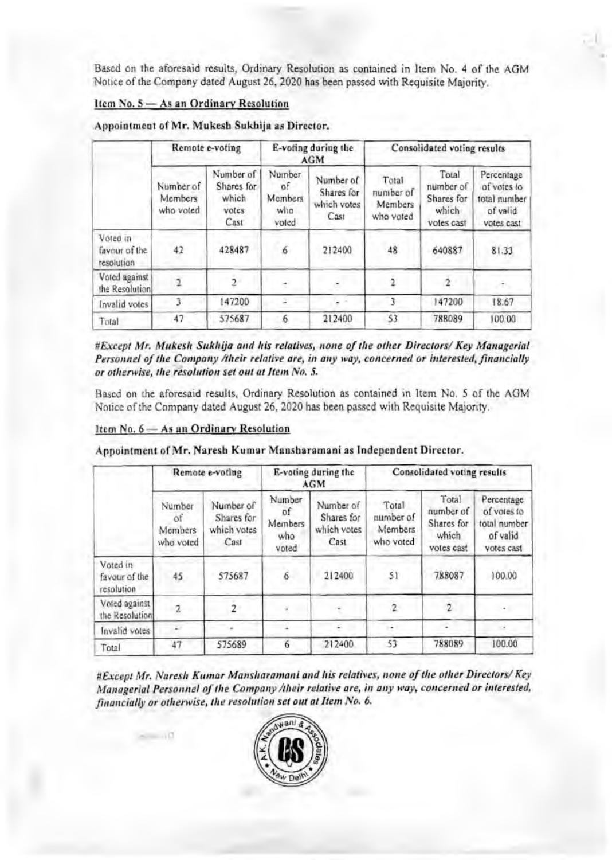Based on the aforesaid results, Ordinary Resolution as contained in Item No. 4 of the AGM Notice of the Company dated August 26, 2020 has been passed with Requisite Majority.

# Item No. 5 - As an Ordinary Resolution

| Appointment of Mr. Mukesh Sukhija as Director. |  |  |  |  |  |  |
|------------------------------------------------|--|--|--|--|--|--|
|------------------------------------------------|--|--|--|--|--|--|

|                                         | Remote e-voting                   |                                                   | E-voting during the<br><b>AGM</b>       |                                                | Consolidated voting results                |                                                         |                                                                     |
|-----------------------------------------|-----------------------------------|---------------------------------------------------|-----------------------------------------|------------------------------------------------|--------------------------------------------|---------------------------------------------------------|---------------------------------------------------------------------|
|                                         | Number of<br>Members<br>who voted | Number of<br>Shares for<br>Which<br>votes<br>Cast | Number<br>n.<br>Members<br>who<br>voted | Number of<br>Shares for<br>which votes<br>Cast | Total<br>number of<br>Members<br>who voted | Total<br>number of<br>Shares for<br>which<br>votes cast | Percentage<br>of votes to<br>total number<br>of valid<br>votes cast |
| Voted in<br>favour of the<br>resolution | 42                                | 428487                                            | 6                                       | 212400                                         | 48                                         | 640887                                                  | 81.33                                                               |
| Voted against<br>the Resolution         |                                   | ۰,                                                |                                         |                                                |                                            |                                                         | 法。                                                                  |
| Invalid votes                           |                                   | 147200                                            |                                         |                                                |                                            | 147200                                                  | 18.67                                                               |
| Total                                   | 47                                | 575687                                            | 6                                       | 212400                                         | 53                                         | 788089                                                  | 100,00                                                              |

#Except Mr. Mukesh Sukhija and his relatives, none of the other Directors/ Key Managerial Personnel of the Company /their relative are, in any way, concerned or interested, financially or otherwise, the resolution set out at Item No. 5.

Based on the aforesaid results, Ordinary Resolution as contained in Item No. 5 of the AGM Notice of the Company dated August 26, 2020 has been passed with Requisite Majority.

## Item No. 6 - As an Ordinary Resolution

|  | Appointment of Mr. Naresh Kumar Mansharamani as Independent Director. |
|--|-----------------------------------------------------------------------|
|--|-----------------------------------------------------------------------|

|                                         | Remote e-voting                      |                                                | E-voting during the<br>AGM              |                                                | Consolidated voting results                |                                                         |                                                                     |
|-----------------------------------------|--------------------------------------|------------------------------------------------|-----------------------------------------|------------------------------------------------|--------------------------------------------|---------------------------------------------------------|---------------------------------------------------------------------|
|                                         | Number<br>٥f<br>Members<br>who voted | Number of<br>Shares for<br>which votes<br>Cast | Number<br>of<br>Members<br>who<br>voted | Number of<br>Shares for<br>which votes<br>Cast | Total<br>number of<br>Members<br>who voted | Total<br>number of<br>Shares for<br>which<br>votes cast | Percentage<br>of votes to<br>total number<br>of valid<br>votes cast |
| Voted in<br>favour of the<br>resolution | 45                                   | 575687                                         | 6                                       | 212400                                         | 51                                         | 788087                                                  | 100.00                                                              |
| Voted against<br>the Resolution         | 2                                    |                                                |                                         |                                                |                                            | 2                                                       | ۰                                                                   |
| Invalid votes                           |                                      |                                                |                                         |                                                |                                            |                                                         | $\sim$                                                              |
| Total                                   | 47                                   | 575689                                         | 6                                       | 212400                                         | 53                                         | 788089                                                  | 100.00                                                              |

#Except Mr. Naresh Kumar Mansharamani and his relatives, none of the other Directors/ Key Managerial Personnel of the Company /their relative are, in any way, concerned or interested, financially or otherwise, the resolution set out at Item No. 6.

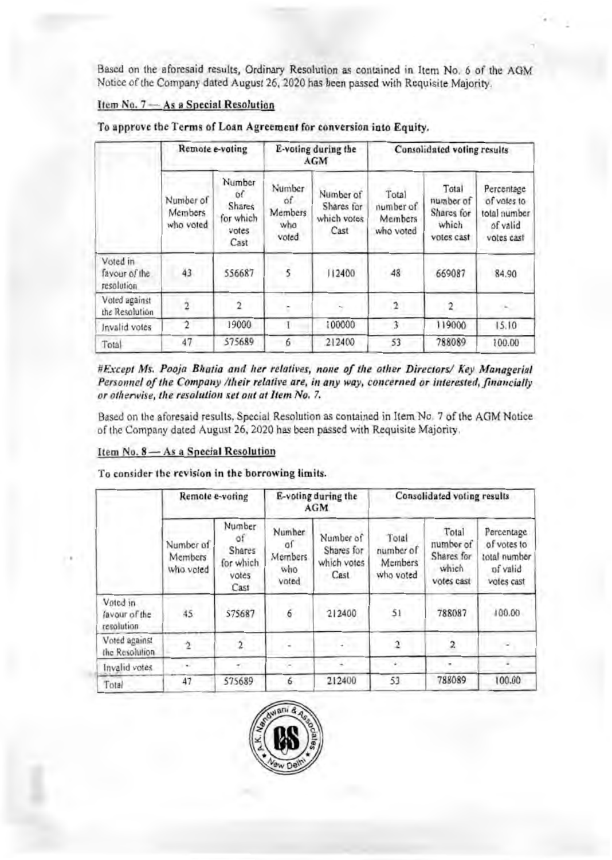Based on the aforesaid results, Ordinary Resolution as contained in Item No. 6 of the AGM Notice of the Company dated August 26, 2020 has been passed with Requisite Majority.

# Item No. 7 - As a Special Resolution

|                                         | Remote e-voting                   |                                                             | E-voting during the<br><b>AGM</b>       |                                                | Consolidated voting results                |                                                         |                                                                     |
|-----------------------------------------|-----------------------------------|-------------------------------------------------------------|-----------------------------------------|------------------------------------------------|--------------------------------------------|---------------------------------------------------------|---------------------------------------------------------------------|
|                                         | Number of<br>Members<br>who voted | Number<br>of<br><b>Shares</b><br>for which<br>votes<br>Cast | Number<br>of<br>Members<br>who<br>voted | Number of<br>Shares for<br>which votes<br>Cast | Total<br>number of<br>Members<br>who voted | Total<br>number of<br>Shares for<br>which<br>votes cast | Percentage<br>of vates to<br>total number<br>of valid<br>votes cast |
| Voted in<br>favour of the<br>resolution | 43                                | 556687                                                      | 5                                       | 112400                                         | 48                                         | 669087                                                  | 84.90                                                               |
| Voted against<br>the Resolution         |                                   | 2                                                           |                                         |                                                | $\overline{2}$                             | $\overline{2}$                                          |                                                                     |
| Invalid votes                           |                                   | 19000                                                       |                                         | 100000                                         | 3                                          | 119000                                                  | 15.10                                                               |
| Total                                   | 47                                | 575689                                                      | 6                                       | 212400                                         | 53                                         | 788089                                                  | 100.00                                                              |

To approve the Terms of Loan Agreement for conversion into Equity.

#Except Ms. Pooja Bhatia and her relatives, none of the other Directors/ Key Managerial Personnel of the Company /their relative are, in any way, concerned or interested, financially or otherwise, the resolution set out at Item No. 7.

Based on the aforesaid results, Special Resolution as contained in Item No. 7 of the AGM Notice of the Company dated August 26, 2020 has been passed with Requisite Majority.

# Item No. 8 - As a Special Resolution

To consider the revision in the borrowing limits.

|                                          | Remote e-voting                   |                                                      | E-voting during the<br><b>AGM</b>       |                                                | Consolidated voting results                |                                                         |                                                                     |
|------------------------------------------|-----------------------------------|------------------------------------------------------|-----------------------------------------|------------------------------------------------|--------------------------------------------|---------------------------------------------------------|---------------------------------------------------------------------|
|                                          | Number of<br>Members<br>who voted | Number<br>öf<br>Shares<br>for which<br>votes<br>Cast | Number<br>01<br>Members<br>who<br>voted | Number of<br>Shares for<br>which votes<br>Cast | Total<br>number of<br>Members<br>who voted | Total<br>number of<br>Shares for<br>which<br>votes cast | Percentage<br>of votes to<br>total number<br>of valid<br>votes cast |
| Voted in<br>favour of the<br>resolution. | 45.                               | 575687                                               | 6                                       | 212400                                         | 51                                         | 788087                                                  | 100.00                                                              |
| Voted against<br>the Resolution          |                                   | 2                                                    |                                         |                                                |                                            |                                                         |                                                                     |
| Invalid votes                            |                                   |                                                      |                                         |                                                |                                            |                                                         |                                                                     |
| Total                                    | 47                                | 575689                                               | 6                                       | 212400                                         | 53                                         | 788089                                                  | 100.00                                                              |